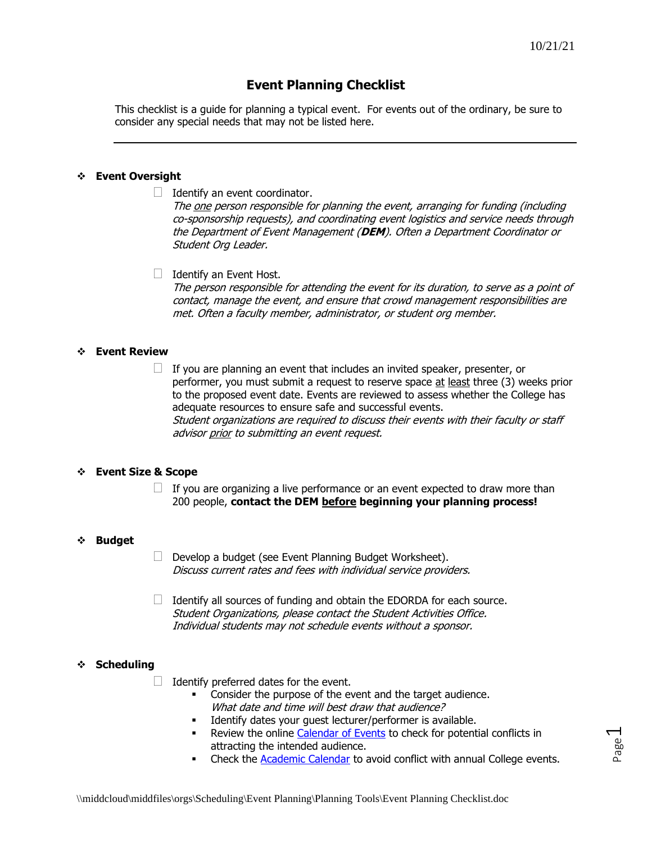# **Event Planning Checklist**

This checklist is a guide for planning a typical event. For events out of the ordinary, be sure to consider any special needs that may not be listed here.

# ❖ **Event Oversight**

 $\Box$  Identify an event coordinator.

The one person responsible for planning the event, arranging for funding (including co-sponsorship requests), and coordinating event logistics and service needs through the Department of Event Management (**DEM**). Often a Department Coordinator or Student Org Leader.

 $\Box$  Identify an Event Host. The person responsible for attending the event for its duration, to serve as a point of contact, manage the event, and ensure that crowd management responsibilities are met. Often a faculty member, administrator, or student org member.

# ❖ **Event Review**

 $\Box$  If you are planning an event that includes an invited speaker, presenter, or performer, you must submit a request to reserve space at least three (3) weeks prior to the proposed event date. Events are reviewed to assess whether the College has adequate resources to ensure safe and successful events. Student organizations are required to discuss their events with their faculty or staff advisor prior to submitting an event request.

# ❖ **Event Size & Scope**

 $\Box$  If you are organizing a live performance or an event expected to draw more than 200 people, **contact the DEM before beginning your planning process!**

#### ❖ **Budget**

- Develop a budget (see Event Planning Budget Worksheet). Discuss current rates and fees with individual service providers.
- $\Box$  Identify all sources of funding and obtain the EDORDA for each source. Student Organizations, please contact the Student Activities Office. Individual students may not schedule events without a sponsor.

# ❖ **Scheduling**

- $\Box$  Identify preferred dates for the event.
	- Consider the purpose of the event and the target audience. What date and time will best draw that audience?
	- **■** Identify dates your guest lecturer/performer is available.
	- **EXECTE:** Review the online [Calendar of Events](https://www.middlebury.edu/events/) to check for potential conflicts in attracting the intended audience.
	- **EXECT** Check the [Academic Calendar](http://www.middlebury.edu/academics/calendar/2021-2022) to avoid conflict with annual College events.

 $\overline{\phantom{0}}$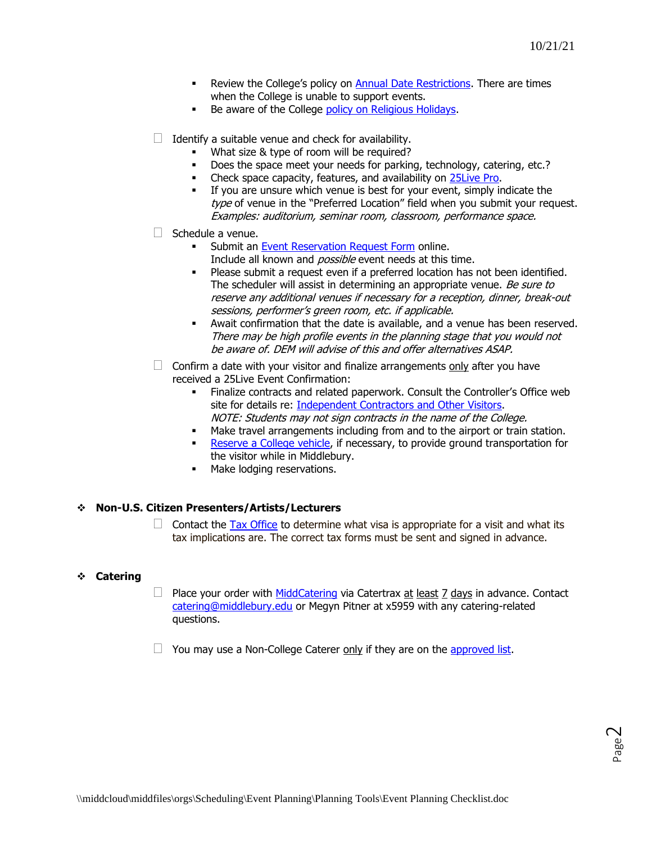- **EXECTE:** Review the College's policy on [Annual Date Restrictions.](http://www.middlebury.edu/offices/business/scheduling/scheduling_policies/date_restrict) There are times when the College is unable to support events.
- Be aware of the College [policy on Religious Holidays.](https://www.middlebury.edu/office/scott-center/resources/middleburys-religious-holidays-policy)
- $\Box$  Identify a suitable venue and check for availability.
	- What size & type of room will be required?
	- Does the space meet your needs for parking, technology, catering, etc.?
	- **EXECUTE:** Check space capacity, features, and availability on [25Live](https://25live.collegenet.com/pro/middlebury#!/home/dash) Pro.
	- If you are unsure which venue is best for your event, simply indicate the type of venue in the "Preferred Location" field when you submit your request. Examples: auditorium, seminar room, classroom, performance space.
- $\Box$  Schedule a venue.
	- **EXECT:** Submit an Event [Reservation Request Form](http://www.middlebury.edu/offices/business/scheduling/forms) online. Include all known and *possible* event needs at this time.
	- Please submit a request even if a preferred location has not been identified. The scheduler will assist in determining an appropriate venue. Be sure to reserve any additional venues if necessary for a reception, dinner, break-out sessions, performer's green room, etc. if applicable.
	- Await confirmation that the date is available, and a venue has been reserved. There may be high profile events in the planning stage that you would not be aware of. DEM will advise of this and offer alternatives ASAP.
- $\Box$  Confirm a date with your visitor and finalize arrangements only after you have received a 25Live Event Confirmation:
	- Finalize contracts and related paperwork. Consult the Controller's Office web site for details re: [Independent Contractors](http://www.middlebury.edu/offices/administration/vpfin/finance-office/controller/payment/ic) and Other Visitors. NOTE: Students may not sign contracts in the name of the College.
	- **■** Make travel arrangements including from and to the airport or train station.
	- **EXECT** [Reserve a College vehicle,](https://www.middlebury.edu/office/facilities-services/maintenance-and-operations/vehicle-rentals) if necessary, to provide ground transportation for the visitor while in Middlebury.
	- **■** Make lodging reservations.

# ❖ **Non-U.S. Citizen Presenters/Artists/Lecturers**

 $\Box$  Contact the [Tax Office](http://www.middlebury.edu/offices/business/tax/visa) to determine what visa is appropriate for a visit and what its tax implications are. The correct tax forms must be sent and signed in advance.

# ❖ **Catering**

- **Place your order with [MiddCatering](https://www.middlebury.edu/office/dining-services/catering) via Catertrax at least 7 days in advance. Contact** [catering@middlebury.edu](mailto:catering@middlebury.edu) or Megyn Pitner at x5959 with any catering-related questions.
- $\Box$  You may use a Non-College Caterer only if they are on the [approved list.](https://www.middlebury.edu/office/dining-services/catering/non-college-catering-options)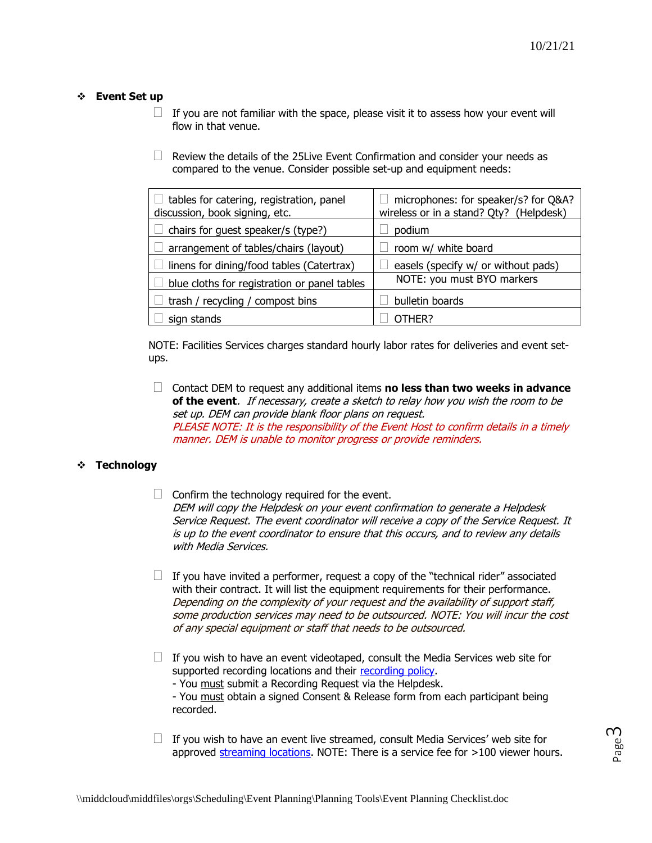#### ❖ **Event Set up**

- $\Box$  If you are not familiar with the space, please visit it to assess how your event will flow in that venue.
- $\Box$  Review the details of the 25 Live Event Confirmation and consider your needs as compared to the venue. Consider possible set-up and equipment needs:

| tables for catering, registration, panel<br>discussion, book signing, etc. | microphones: for speaker/s? for Q&A?<br>wireless or in a stand? Qty? (Helpdesk) |
|----------------------------------------------------------------------------|---------------------------------------------------------------------------------|
| chairs for guest speaker/s (type?)                                         | podium                                                                          |
| arrangement of tables/chairs (layout)                                      | room w/ white board                                                             |
| linens for dining/food tables (Catertrax)                                  | easels (specify w/ or without pads)                                             |
| blue cloths for registration or panel tables                               | NOTE: you must BYO markers                                                      |
| trash / recycling / compost bins                                           | bulletin boards                                                                 |
| sign stands                                                                | OTHFR?                                                                          |

NOTE: Facilities Services charges standard hourly labor rates for deliveries and event setups.

 Contact DEM to request any additional items **no less than two weeks in advance of the event**. If necessary, create a sketch to relay how you wish the room to be set up. DEM can provide blank floor plans on request. PLEASE NOTE: It is the responsibility of the Event Host to confirm details in a timely manner. DEM is unable to monitor progress or provide reminders.

# ❖ **Technology**

- $\Box$  Confirm the technology required for the event. DEM will copy the Helpdesk on your event confirmation to generate a Helpdesk Service Request. The event coordinator will receive a copy of the Service Request. It is up to the event coordinator to ensure that this occurs, and to review any details with Media Services.
- $\Box$  If you have invited a performer, request a copy of the "technical rider" associated with their contract. It will list the equipment requirements for their performance. Depending on the complexity of your request and the availability of support staff, some production services may need to be outsourced. NOTE: You will incur the cost of any special equipment or staff that needs to be outsourced.
- $\Box$  If you wish to have an event videotaped, consult the Media Services web site for supported recording locations and their [recording policy.](https://www.middlebury.edu/office/information-technology-services/requests/media-services/event-recording)

- You must submit a Recording Request via the Helpdesk.

- You must obtain a signed Consent & Release form from each participant being recorded.

 $\Box$  If you wish to have an event live streamed, consult Media Services' web site for approved [streaming locations.](https://www.middlebury.edu/office/information-technology-services/requests/media-services/event-live-streaming) NOTE: There is a service fee for >100 viewer hours.